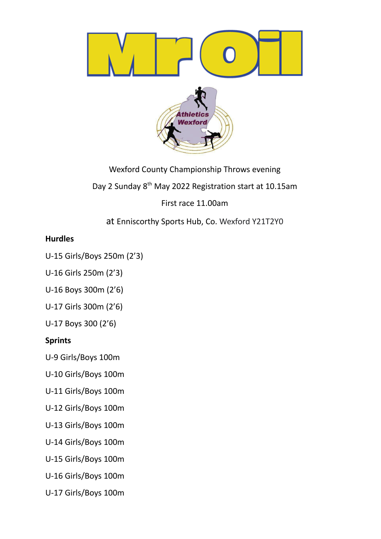

Wexford County Championship Throws evening Day 2 Sunday 8<sup>th</sup> May 2022 Registration start at 10.15am First race 11.00am

at Enniscorthy Sports Hub, Co. Wexford Y21T2Y0

# **Hurdles**

U-15 Girls/Boys 250m (2'3)

U-16 Girls 250m (2'3)

U-16 Boys 300m (2'6)

U-17 Girls 300m (2'6)

U-17 Boys 300 (2'6)

# **Sprints**

U-9 Girls/Boys 100m

U-10 Girls/Boys 100m

U-11 Girls/Boys 100m

U-12 Girls/Boys 100m

U-13 Girls/Boys 100m

U-14 Girls/Boys 100m

U-15 Girls/Boys 100m

U-16 Girls/Boys 100m

U-17 Girls/Boys 100m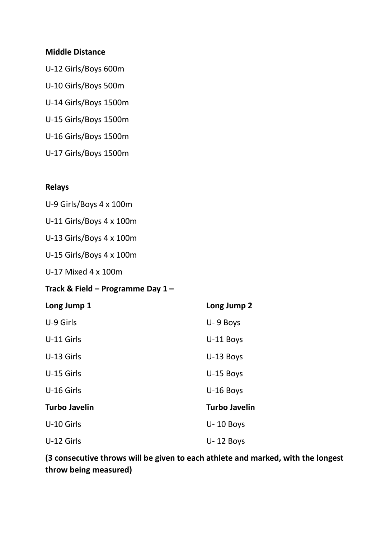## **Middle Distance**

U-12 Girls/Boys 600m U-10 Girls/Boys 500m U-14 Girls/Boys 1500m U-15 Girls/Boys 1500m U-16 Girls/Boys 1500m U-17 Girls/Boys 1500m

## **Relays**

U-9 Girls/Boys 4 x 100m

U-11 Girls/Boys 4 x 100m

U-13 Girls/Boys 4 x 100m

U-15 Girls/Boys 4 x 100m

U-17 Mixed 4 x 100m

## **Track & Field – Programme Day 1 –**

| Long Jump 1 |  |
|-------------|--|
|-------------|--|

| U-9 Girls            | U-9 Boys             |
|----------------------|----------------------|
| U-11 Girls           | U-11 Boys            |
| U-13 Girls           | $U-13$ Boys          |
| U-15 Girls           | U-15 Boys            |
| U-16 Girls           | $U-16$ Boys          |
| <b>Turbo Javelin</b> | <b>Turbo Javelin</b> |
| U-10 Girls           | $U - 10$ Boys        |
| U-12 Girls           | $U - 12$ Boys        |

**(3 consecutive throws will be given to each athlete and marked, with the longest throw being measured)**

**Long Jump 1 Long Jump 2**